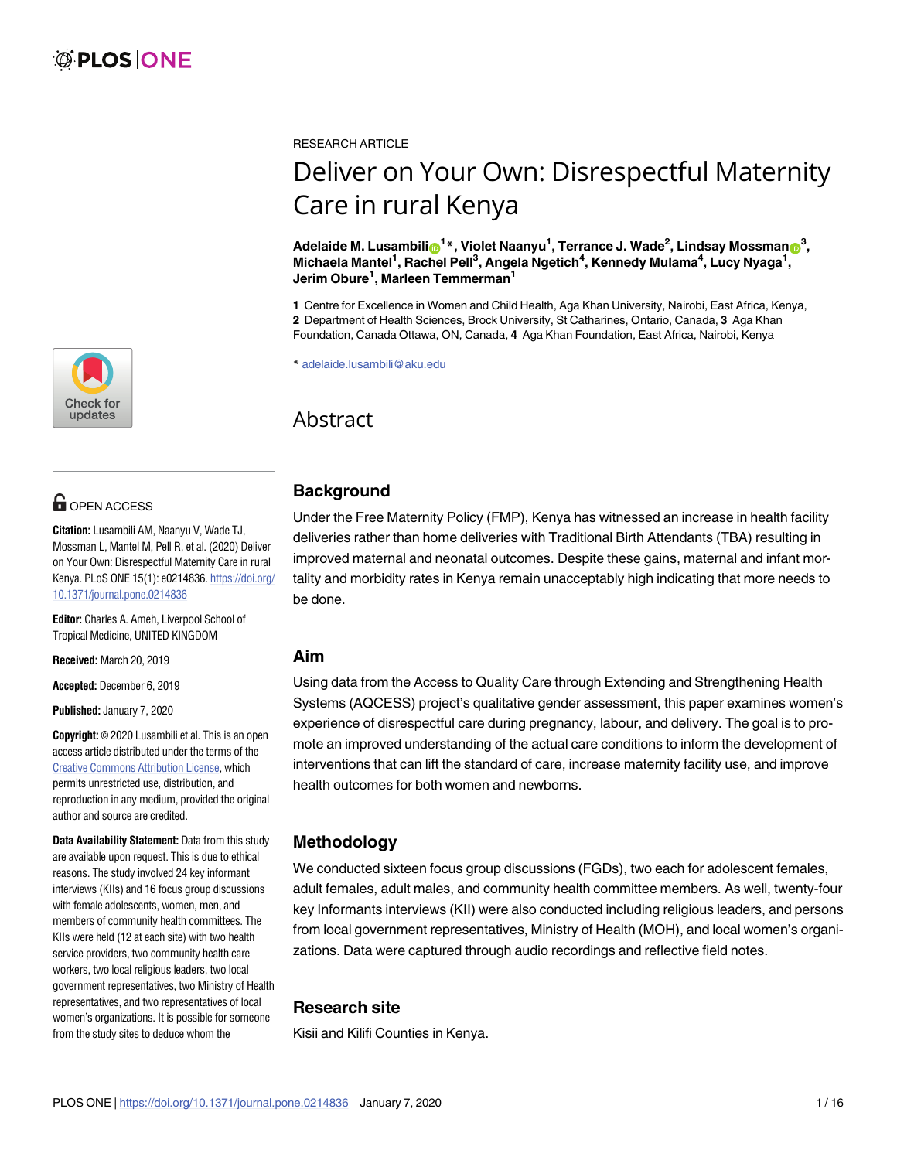[a1111111111](http://crossmark.crossref.org/dialog/?doi=10.1371/journal.pone.0214836&domain=pdf&date_stamp=2020-01-07)  $\blacksquare$ [a1111111111](http://crossmark.crossref.org/dialog/?doi=10.1371/journal.pone.0214836&domain=pdf&date_stamp=2020-01-07) Check for updates

## **OPEN ACCESS**

**Citation:** Lusambili AM, Naanyu V, Wade TJ, Mossman L, Mantel M, Pell R, et al. (2020) Deliver on Your Own: Disrespectful Maternity Care in rural Kenya. PLoS ONE 15(1): e0214836. [https://doi.org/](https://doi.org/10.1371/journal.pone.0214836) [10.1371/journal.pone.0214836](https://doi.org/10.1371/journal.pone.0214836)

**Editor:** Charles A. Ameh, Liverpool School of Tropical Medicine, UNITED KINGDOM

**Received:** March 20, 2019

**Accepted:** December 6, 2019

**Published:** January 7, 2020

**Copyright:** © 2020 Lusambili et al. This is an open access article distributed under the terms of the Creative Commons [Attribution](http://creativecommons.org/licenses/by/4.0/) License, which permits unrestricted use, distribution, and reproduction in any medium, provided the original author and source are credited.

**Data Availability Statement:** Data from this study are available upon request. This is due to ethical reasons. The study involved 24 key informant interviews (KIIs) and 16 focus group discussions with female adolescents, women, men, and members of community health committees. The KIIs were held (12 at each site) with two health service providers, two community health care workers, two local religious leaders, two local government representatives, two Ministry of Health representatives, and two representatives of local women's organizations. It is possible for someone from the study sites to deduce whom the

RESEARCH ARTICLE

# Deliver on Your Own: Disrespectful Maternity Care in rural Kenya

 $\blacksquare$ **Adelaide M. Lusambili** $\blacksquare^\mathbf{1*}$ **, Violet Naanyu** $^{\mathbf{1}}$ **, Terrance J. Wade** $^{\mathbf{2}}$ **, Lindsay Mossman** $\blacksquare^\mathbf{3}$ **, Michaela Mantel1 , Rachel Pell3 , Angela Ngetich4 , Kennedy Mulama4 , Lucy Nyaga1 , Jerim Obure<sup>1</sup> , Marleen Temmerman1**

**1** Centre for Excellence in Women and Child Health, Aga Khan University, Nairobi, East Africa, Kenya, **2** Department of Health Sciences, Brock University, St Catharines, Ontario, Canada, **3** Aga Khan Foundation, Canada Ottawa, ON, Canada, **4** Aga Khan Foundation, East Africa, Nairobi, Kenya

\* adelaide.lusambili@aku.edu

## Abstract

## **Background**

Under the Free Maternity Policy (FMP), Kenya has witnessed an increase in health facility deliveries rather than home deliveries with Traditional Birth Attendants (TBA) resulting in improved maternal and neonatal outcomes. Despite these gains, maternal and infant mortality and morbidity rates in Kenya remain unacceptably high indicating that more needs to be done.

#### **Aim**

Using data from the Access to Quality Care through Extending and Strengthening Health Systems (AQCESS) project's qualitative gender assessment, this paper examines women's experience of disrespectful care during pregnancy, labour, and delivery. The goal is to promote an improved understanding of the actual care conditions to inform the development of interventions that can lift the standard of care, increase maternity facility use, and improve health outcomes for both women and newborns.

## **Methodology**

We conducted sixteen focus group discussions (FGDs), two each for adolescent females, adult females, adult males, and community health committee members. As well, twenty-four key Informants interviews (KII) were also conducted including religious leaders, and persons from local government representatives, Ministry of Health (MOH), and local women's organizations. Data were captured through audio recordings and reflective field notes.

## **Research site**

Kisii and Kilifi Counties in Kenya.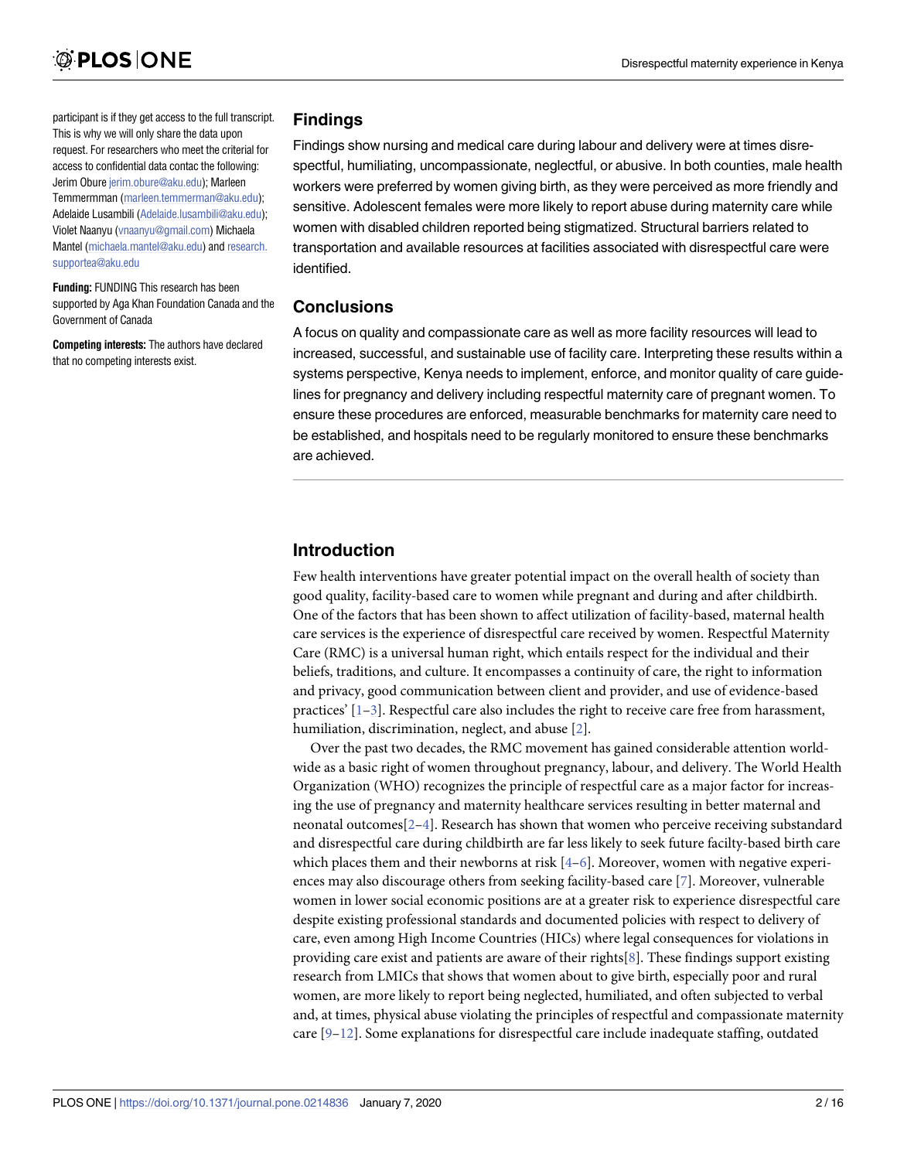<span id="page-1-0"></span>participant is if they get access to the full transcript. This is why we will only share the data upon request. For researchers who meet the criterial for access to confidential data contac the following: Jerim Obure [jerim.obure@aku.edu\)](mailto:jerim.obure@aku.edu); Marleen Temmermman [\(marleen.temmerman@aku.edu](mailto:marleen.temmerman@aku.edu)); Adelaide Lusambili ([Adelaide.lusambili@aku.edu](mailto:Adelaide.lusambili@aku.edu)); Violet Naanyu [\(vnaanyu@gmail.com](mailto:vnaanyu@gmail.com)) Michaela Mantel [\(michaela.mantel@aku.edu](mailto:michaela.mantel@aku.edu)) and [research.](mailto:research.supportea@aku.edu) [supportea@aku.edu](mailto:research.supportea@aku.edu)

**Funding:** FUNDING This research has been supported by Aga Khan Foundation Canada and the Government of Canada

**Competing interests:** The authors have declared that no competing interests exist.

#### **Findings**

Findings show nursing and medical care during labour and delivery were at times disrespectful, humiliating, uncompassionate, neglectful, or abusive. In both counties, male health workers were preferred by women giving birth, as they were perceived as more friendly and sensitive. Adolescent females were more likely to report abuse during maternity care while women with disabled children reported being stigmatized. Structural barriers related to transportation and available resources at facilities associated with disrespectful care were identified.

#### **Conclusions**

A focus on quality and compassionate care as well as more facility resources will lead to increased, successful, and sustainable use of facility care. Interpreting these results within a systems perspective, Kenya needs to implement, enforce, and monitor quality of care guidelines for pregnancy and delivery including respectful maternity care of pregnant women. To ensure these procedures are enforced, measurable benchmarks for maternity care need to be established, and hospitals need to be regularly monitored to ensure these benchmarks are achieved.

## **Introduction**

Few health interventions have greater potential impact on the overall health of society than good quality, facility-based care to women while pregnant and during and after childbirth. One of the factors that has been shown to affect utilization of facility-based, maternal health care services is the experience of disrespectful care received by women. Respectful Maternity Care (RMC) is a universal human right, which entails respect for the individual and their beliefs, traditions, and culture. It encompasses a continuity of care, the right to information and privacy, good communication between client and provider, and use of evidence-based practices'  $[1-3]$ . Respectful care also includes the right to receive care free from harassment, humiliation, discrimination, neglect, and abuse [\[2](#page-14-0)].

Over the past two decades, the RMC movement has gained considerable attention worldwide as a basic right of women throughout pregnancy, labour, and delivery. The World Health Organization (WHO) recognizes the principle of respectful care as a major factor for increasing the use of pregnancy and maternity healthcare services resulting in better maternal and neonatal outcomes  $[2-4]$  $[2-4]$  $[2-4]$  $[2-4]$  $[2-4]$ . Research has shown that women who perceive receiving substandard and disrespectful care during childbirth are far less likely to seek future facilty-based birth care which places them and their newborns at risk  $[4-6]$ . Moreover, women with negative experiences may also discourage others from seeking facility-based care [[7](#page-14-0)]. Moreover, vulnerable women in lower social economic positions are at a greater risk to experience disrespectful care despite existing professional standards and documented policies with respect to delivery of care, even among High Income Countries (HICs) where legal consequences for violations in providing care exist and patients are aware of their rights[\[8\]](#page-14-0). These findings support existing research from LMICs that shows that women about to give birth, especially poor and rural women, are more likely to report being neglected, humiliated, and often subjected to verbal and, at times, physical abuse violating the principles of respectful and compassionate maternity care  $[9-12]$ . Some explanations for disrespectful care include inadequate staffing, outdated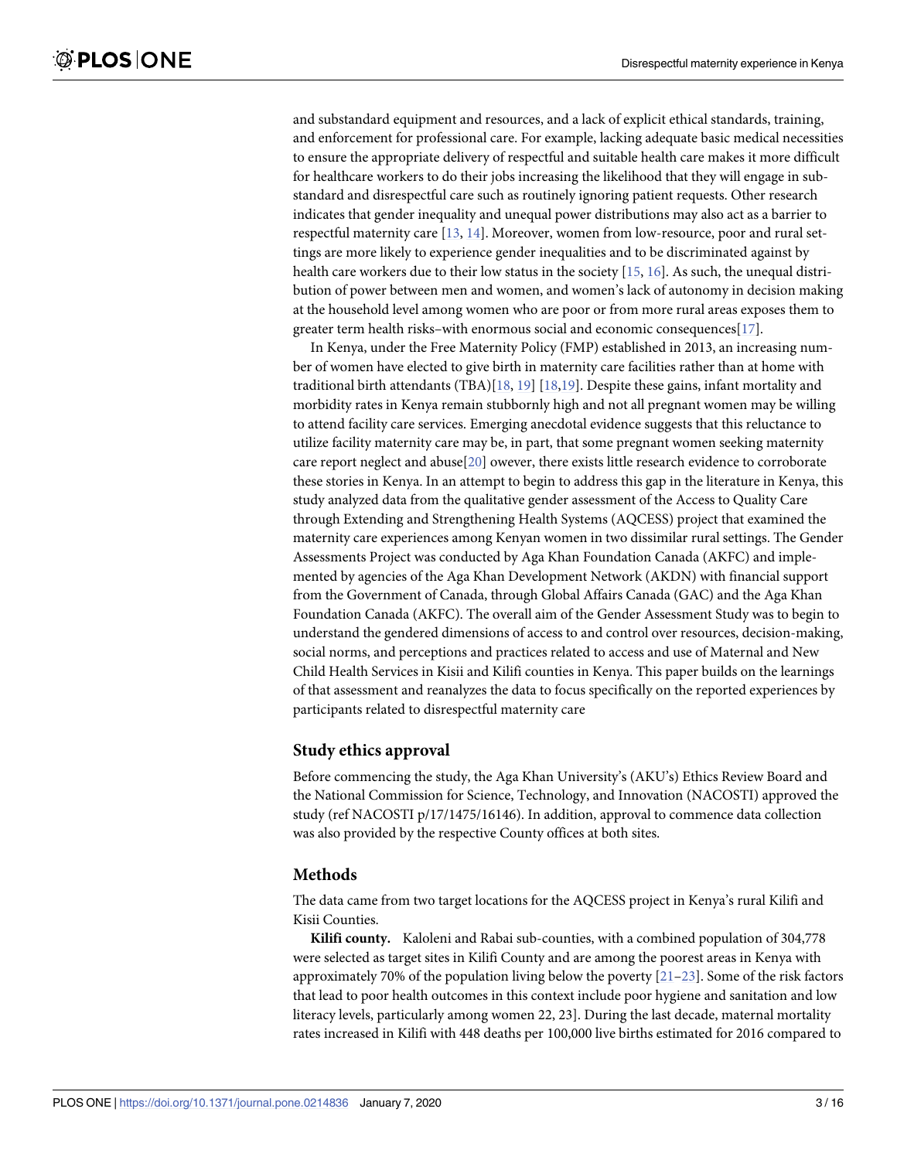<span id="page-2-0"></span>and substandard equipment and resources, and a lack of explicit ethical standards, training, and enforcement for professional care. For example, lacking adequate basic medical necessities to ensure the appropriate delivery of respectful and suitable health care makes it more difficult for healthcare workers to do their jobs increasing the likelihood that they will engage in substandard and disrespectful care such as routinely ignoring patient requests. Other research indicates that gender inequality and unequal power distributions may also act as a barrier to respectful maternity care [\[13,](#page-14-0) [14\]](#page-15-0). Moreover, women from low-resource, poor and rural settings are more likely to experience gender inequalities and to be discriminated against by health care workers due to their low status in the society [[15](#page-15-0), [16](#page-15-0)]. As such, the unequal distribution of power between men and women, and women's lack of autonomy in decision making at the household level among women who are poor or from more rural areas exposes them to greater term health risks–with enormous social and economic consequences[\[17\]](#page-15-0).

In Kenya, under the Free Maternity Policy (FMP) established in 2013, an increasing number of women have elected to give birth in maternity care facilities rather than at home with traditional birth attendants (TBA)[[18](#page-15-0), [19](#page-15-0)] [\[18,19\]](#page-15-0). Despite these gains, infant mortality and morbidity rates in Kenya remain stubbornly high and not all pregnant women may be willing to attend facility care services. Emerging anecdotal evidence suggests that this reluctance to utilize facility maternity care may be, in part, that some pregnant women seeking maternity care report neglect and abuse[[20\]](#page-15-0) owever, there exists little research evidence to corroborate these stories in Kenya. In an attempt to begin to address this gap in the literature in Kenya, this study analyzed data from the qualitative gender assessment of the Access to Quality Care through Extending and Strengthening Health Systems (AQCESS) project that examined the maternity care experiences among Kenyan women in two dissimilar rural settings. The Gender Assessments Project was conducted by Aga Khan Foundation Canada (AKFC) and implemented by agencies of the Aga Khan Development Network (AKDN) with financial support from the Government of Canada, through Global Affairs Canada (GAC) and the Aga Khan Foundation Canada (AKFC). The overall aim of the Gender Assessment Study was to begin to understand the gendered dimensions of access to and control over resources, decision-making, social norms, and perceptions and practices related to access and use of Maternal and New Child Health Services in Kisii and Kilifi counties in Kenya. This paper builds on the learnings of that assessment and reanalyzes the data to focus specifically on the reported experiences by participants related to disrespectful maternity care

#### **Study ethics approval**

Before commencing the study, the Aga Khan University's (AKU's) Ethics Review Board and the National Commission for Science, Technology, and Innovation (NACOSTI) approved the study (ref NACOSTI p/17/1475/16146). In addition, approval to commence data collection was also provided by the respective County offices at both sites.

#### **Methods**

The data came from two target locations for the AQCESS project in Kenya's rural Kilifi and Kisii Counties.

**Kilifi county.** Kaloleni and Rabai sub-counties, with a combined population of 304,778 were selected as target sites in Kilifi County and are among the poorest areas in Kenya with approximately 70% of the population living below the poverty  $[21-23]$ . Some of the risk factors that lead to poor health outcomes in this context include poor hygiene and sanitation and low literacy levels, particularly among women 22, 23]. During the last decade, maternal mortality rates increased in Kilifi with 448 deaths per 100,000 live births estimated for 2016 compared to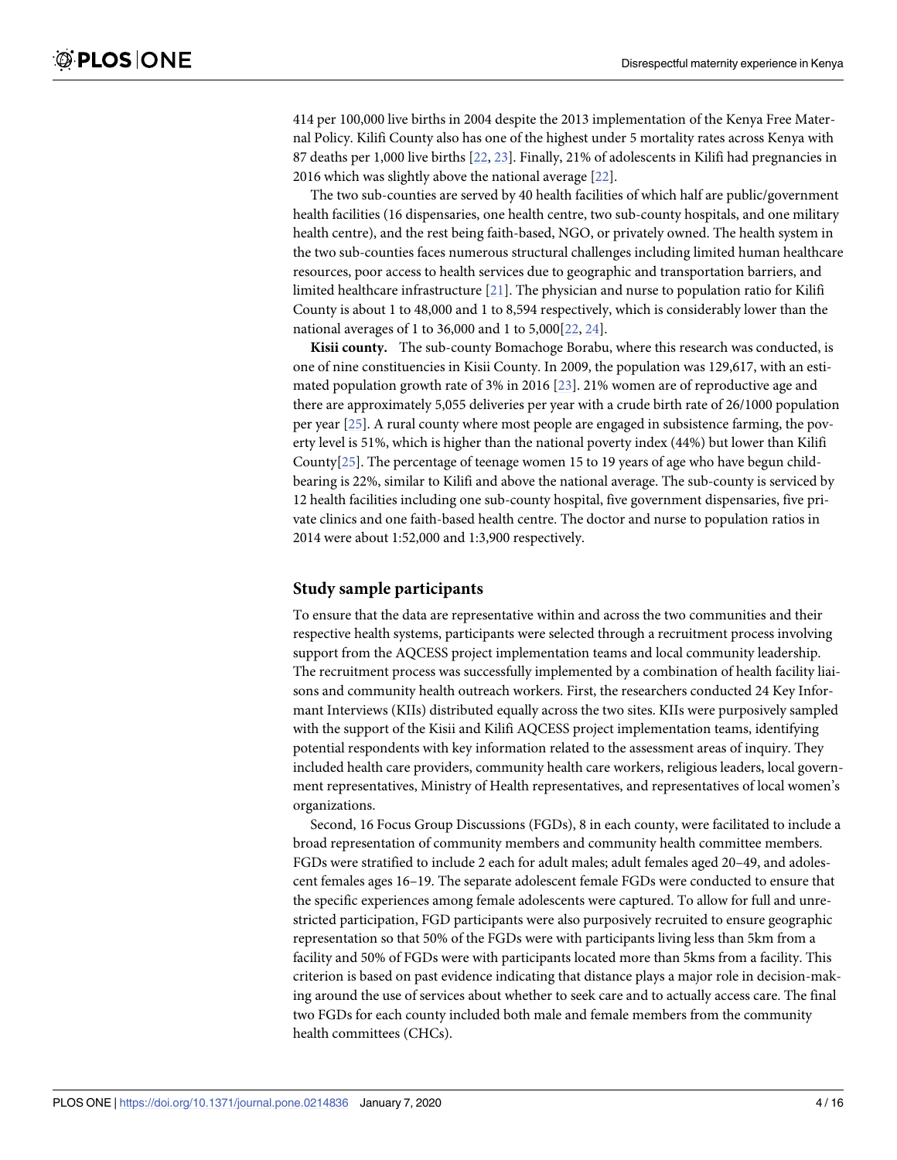<span id="page-3-0"></span> per 100,000 live births in 2004 despite the 2013 implementation of the Kenya Free Maternal Policy. Kilifi County also has one of the highest under 5 mortality rates across Kenya with deaths per 1,000 live births [\[22,](#page-15-0) [23\]](#page-15-0). Finally, 21% of adolescents in Kilifi had pregnancies in which was slightly above the national average [\[22\]](#page-15-0).

The two sub-counties are served by 40 health facilities of which half are public/government health facilities (16 dispensaries, one health centre, two sub-county hospitals, and one military health centre), and the rest being faith-based, NGO, or privately owned. The health system in the two sub-counties faces numerous structural challenges including limited human healthcare resources, poor access to health services due to geographic and transportation barriers, and limited healthcare infrastructure [[21](#page-15-0)]. The physician and nurse to population ratio for Kilifi County is about 1 to 48,000 and 1 to 8,594 respectively, which is considerably lower than the national averages of 1 to 36,000 and 1 to 5,000[[22](#page-15-0), [24](#page-15-0)].

**Kisii county.** The sub-county Bomachoge Borabu, where this research was conducted, is one of nine constituencies in Kisii County. In 2009, the population was 129,617, with an estimated population growth rate of 3% in 2016 [\[23\]](#page-15-0). 21% women are of reproductive age and there are approximately 5,055 deliveries per year with a crude birth rate of 26/1000 population per year [[25](#page-15-0)]. A rural county where most people are engaged in subsistence farming, the poverty level is 51%, which is higher than the national poverty index (44%) but lower than Kilifi County[\[25\]](#page-15-0). The percentage of teenage women 15 to 19 years of age who have begun childbearing is 22%, similar to Kilifi and above the national average. The sub-county is serviced by 12 health facilities including one sub-county hospital, five government dispensaries, five private clinics and one faith-based health centre. The doctor and nurse to population ratios in 2014 were about 1:52,000 and 1:3,900 respectively.

#### **Study sample participants**

To ensure that the data are representative within and across the two communities and their respective health systems, participants were selected through a recruitment process involving support from the AQCESS project implementation teams and local community leadership. The recruitment process was successfully implemented by a combination of health facility liaisons and community health outreach workers. First, the researchers conducted 24 Key Informant Interviews (KIIs) distributed equally across the two sites. KIIs were purposively sampled with the support of the Kisii and Kilifi AQCESS project implementation teams, identifying potential respondents with key information related to the assessment areas of inquiry. They included health care providers, community health care workers, religious leaders, local government representatives, Ministry of Health representatives, and representatives of local women's organizations.

Second, 16 Focus Group Discussions (FGDs), 8 in each county, were facilitated to include a broad representation of community members and community health committee members. FGDs were stratified to include 2 each for adult males; adult females aged 20–49, and adolescent females ages 16–19. The separate adolescent female FGDs were conducted to ensure that the specific experiences among female adolescents were captured. To allow for full and unrestricted participation, FGD participants were also purposively recruited to ensure geographic representation so that 50% of the FGDs were with participants living less than 5km from a facility and 50% of FGDs were with participants located more than 5kms from a facility. This criterion is based on past evidence indicating that distance plays a major role in decision-making around the use of services about whether to seek care and to actually access care. The final two FGDs for each county included both male and female members from the community health committees (CHCs).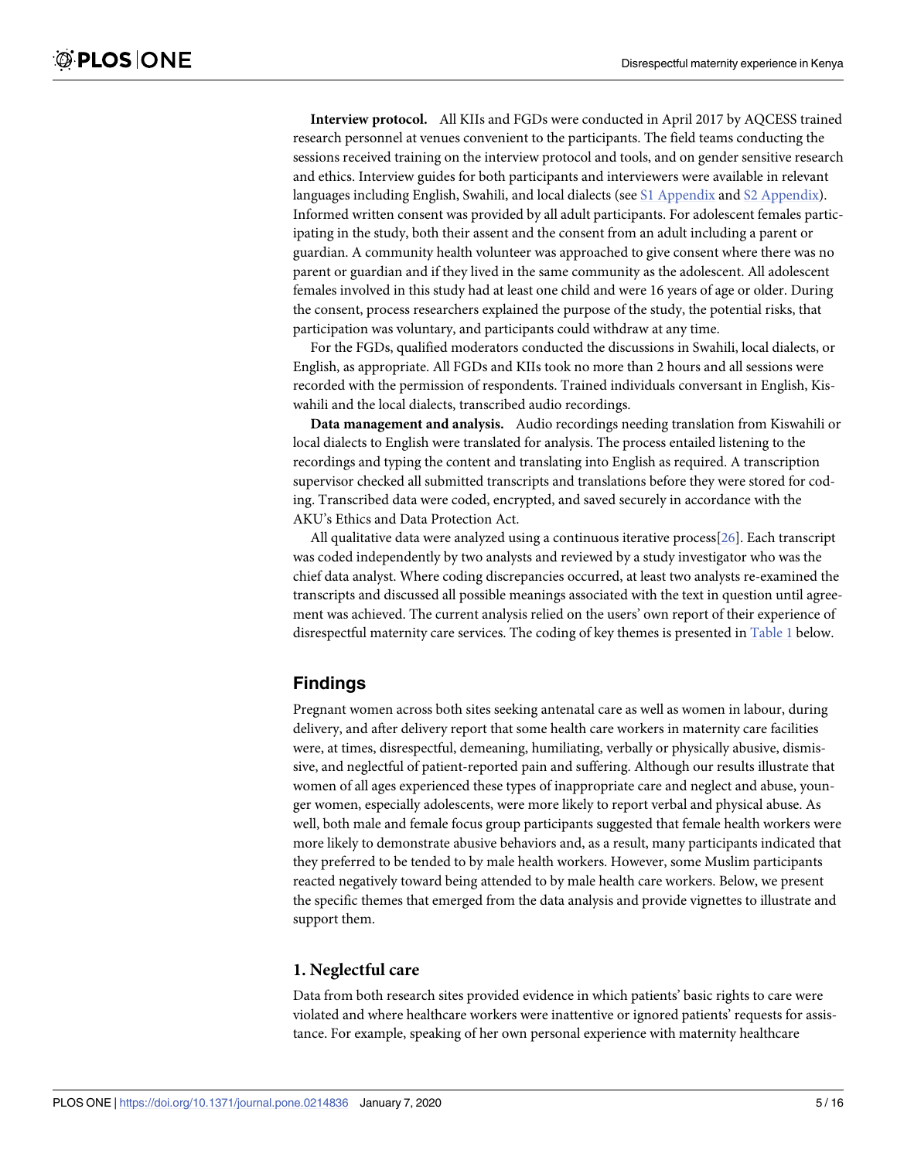<span id="page-4-0"></span>**Interview protocol.** All KIIs and FGDs were conducted in April 2017 by AQCESS trained research personnel at venues convenient to the participants. The field teams conducting the sessions received training on the interview protocol and tools, and on gender sensitive research and ethics. Interview guides for both participants and interviewers were available in relevant languages including English, Swahili, and local dialects (see S1 [Appendix](#page-13-0) and S2 Appendix). Informed written consent was provided by all adult participants. For adolescent females participating in the study, both their assent and the consent from an adult including a parent or guardian. A community health volunteer was approached to give consent where there was no parent or guardian and if they lived in the same community as the adolescent. All adolescent females involved in this study had at least one child and were 16 years of age or older. During the consent, process researchers explained the purpose of the study, the potential risks, that participation was voluntary, and participants could withdraw at any time.

For the FGDs, qualified moderators conducted the discussions in Swahili, local dialects, or English, as appropriate. All FGDs and KIIs took no more than 2 hours and all sessions were recorded with the permission of respondents. Trained individuals conversant in English, Kiswahili and the local dialects, transcribed audio recordings.

**Data management and analysis.** Audio recordings needing translation from Kiswahili or local dialects to English were translated for analysis. The process entailed listening to the recordings and typing the content and translating into English as required. A transcription supervisor checked all submitted transcripts and translations before they were stored for coding. Transcribed data were coded, encrypted, and saved securely in accordance with the AKU's Ethics and Data Protection Act.

All qualitative data were analyzed using a continuous iterative process[[26\]](#page-15-0). Each transcript was coded independently by two analysts and reviewed by a study investigator who was the chief data analyst. Where coding discrepancies occurred, at least two analysts re-examined the transcripts and discussed all possible meanings associated with the text in question until agreement was achieved. The current analysis relied on the users' own report of their experience of disrespectful maternity care services. The coding of key themes is presented in [Table](#page-5-0) 1 below.

### **Findings**

Pregnant women across both sites seeking antenatal care as well as women in labour, during delivery, and after delivery report that some health care workers in maternity care facilities were, at times, disrespectful, demeaning, humiliating, verbally or physically abusive, dismissive, and neglectful of patient-reported pain and suffering. Although our results illustrate that women of all ages experienced these types of inappropriate care and neglect and abuse, younger women, especially adolescents, were more likely to report verbal and physical abuse. As well, both male and female focus group participants suggested that female health workers were more likely to demonstrate abusive behaviors and, as a result, many participants indicated that they preferred to be tended to by male health workers. However, some Muslim participants reacted negatively toward being attended to by male health care workers. Below, we present the specific themes that emerged from the data analysis and provide vignettes to illustrate and support them.

#### **1. Neglectful care**

Data from both research sites provided evidence in which patients' basic rights to care were violated and where healthcare workers were inattentive or ignored patients' requests for assistance. For example, speaking of her own personal experience with maternity healthcare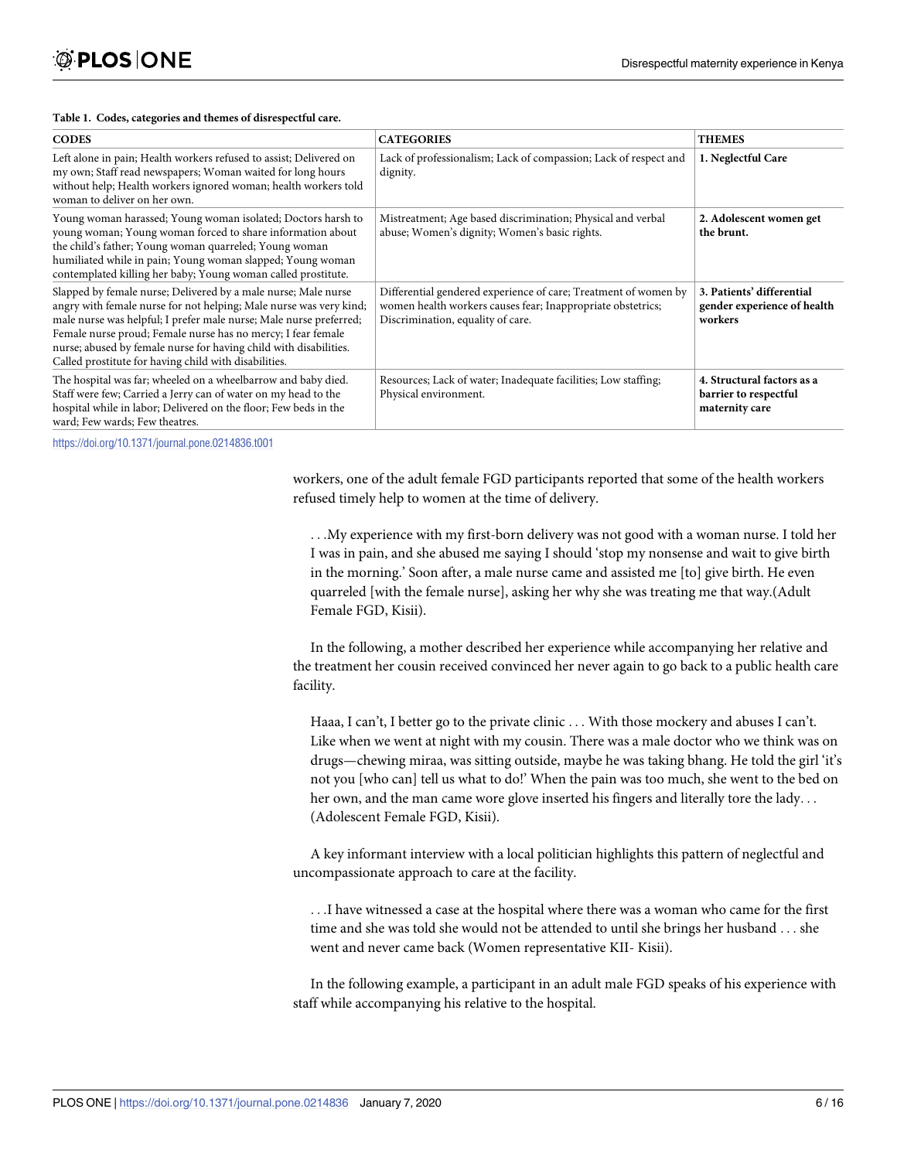#### <span id="page-5-0"></span>**[Table](#page-4-0) 1. Codes, categories and themes of disrespectful care.**

| <b>CODES</b>                                                                                                                                                                                                                                                                                                                                                                                             | <b>CATEGORIES</b>                                                                                                                                                   | <b>THEMES</b>                                                         |
|----------------------------------------------------------------------------------------------------------------------------------------------------------------------------------------------------------------------------------------------------------------------------------------------------------------------------------------------------------------------------------------------------------|---------------------------------------------------------------------------------------------------------------------------------------------------------------------|-----------------------------------------------------------------------|
| Left alone in pain; Health workers refused to assist; Delivered on<br>my own; Staff read newspapers; Woman waited for long hours<br>without help; Health workers ignored woman; health workers told<br>woman to deliver on her own.                                                                                                                                                                      | Lack of professionalism; Lack of compassion; Lack of respect and<br>dignity.                                                                                        | 1. Neglectful Care                                                    |
| Young woman harassed; Young woman isolated; Doctors harsh to<br>young woman; Young woman forced to share information about<br>the child's father; Young woman quarreled; Young woman<br>humiliated while in pain; Young woman slapped; Young woman<br>contemplated killing her baby; Young woman called prostitute.                                                                                      | Mistreatment; Age based discrimination; Physical and verbal<br>abuse; Women's dignity; Women's basic rights.                                                        | 2. Adolescent women get<br>the brunt.                                 |
| Slapped by female nurse; Delivered by a male nurse; Male nurse<br>angry with female nurse for not helping; Male nurse was very kind;<br>male nurse was helpful; I prefer male nurse; Male nurse preferred;<br>Female nurse proud; Female nurse has no mercy; I fear female<br>nurse; abused by female nurse for having child with disabilities.<br>Called prostitute for having child with disabilities. | Differential gendered experience of care; Treatment of women by<br>women health workers causes fear; Inappropriate obstetrics;<br>Discrimination, equality of care. | 3. Patients' differential<br>gender experience of health<br>workers   |
| The hospital was far; wheeled on a wheelbarrow and baby died.<br>Staff were few; Carried a Jerry can of water on my head to the<br>hospital while in labor; Delivered on the floor; Few beds in the<br>ward; Few wards; Few theatres.                                                                                                                                                                    | Resources; Lack of water; Inadequate facilities; Low staffing;<br>Physical environment.                                                                             | 4. Structural factors as a<br>barrier to respectful<br>maternity care |

<https://doi.org/10.1371/journal.pone.0214836.t001>

workers, one of the adult female FGD participants reported that some of the health workers refused timely help to women at the time of delivery.

. . .My experience with my first-born delivery was not good with a woman nurse. I told her I was in pain, and she abused me saying I should 'stop my nonsense and wait to give birth in the morning.' Soon after, a male nurse came and assisted me [to] give birth. He even quarreled [with the female nurse], asking her why she was treating me that way.(Adult Female FGD, Kisii).

In the following, a mother described her experience while accompanying her relative and the treatment her cousin received convinced her never again to go back to a public health care facility.

Haaa, I can't, I better go to the private clinic . . . With those mockery and abuses I can't. Like when we went at night with my cousin. There was a male doctor who we think was on drugs—chewing miraa, was sitting outside, maybe he was taking bhang. He told the girl 'it's not you [who can] tell us what to do!' When the pain was too much, she went to the bed on her own, and the man came wore glove inserted his fingers and literally tore the lady. . . (Adolescent Female FGD, Kisii).

A key informant interview with a local politician highlights this pattern of neglectful and uncompassionate approach to care at the facility.

. . .I have witnessed a case at the hospital where there was a woman who came for the first time and she was told she would not be attended to until she brings her husband . . . she went and never came back (Women representative KII- Kisii).

In the following example, a participant in an adult male FGD speaks of his experience with staff while accompanying his relative to the hospital.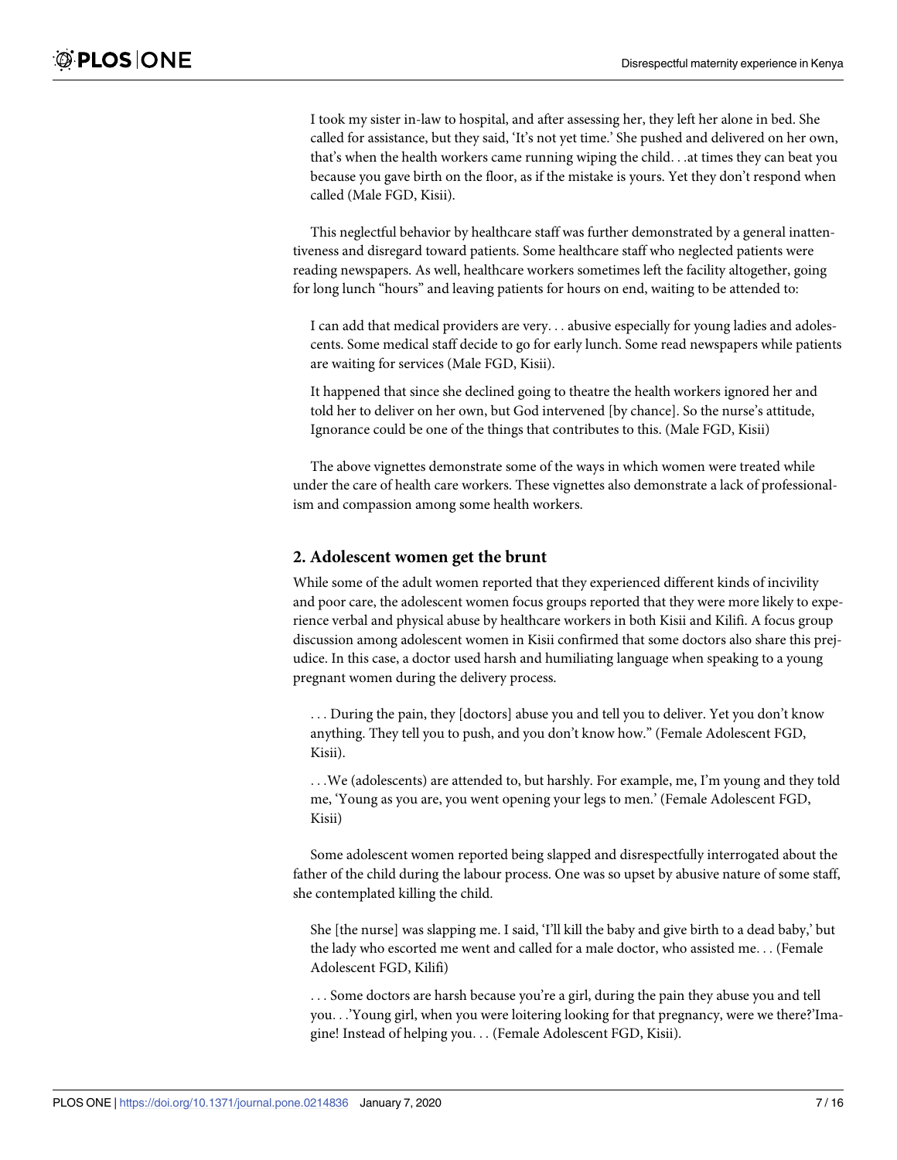I took my sister in-law to hospital, and after assessing her, they left her alone in bed. She called for assistance, but they said, 'It's not yet time.' She pushed and delivered on her own, that's when the health workers came running wiping the child. . .at times they can beat you because you gave birth on the floor, as if the mistake is yours. Yet they don't respond when called (Male FGD, Kisii).

This neglectful behavior by healthcare staff was further demonstrated by a general inattentiveness and disregard toward patients. Some healthcare staff who neglected patients were reading newspapers. As well, healthcare workers sometimes left the facility altogether, going for long lunch "hours" and leaving patients for hours on end, waiting to be attended to:

I can add that medical providers are very. . . abusive especially for young ladies and adolescents. Some medical staff decide to go for early lunch. Some read newspapers while patients are waiting for services (Male FGD, Kisii).

It happened that since she declined going to theatre the health workers ignored her and told her to deliver on her own, but God intervened [by chance]. So the nurse's attitude, Ignorance could be one of the things that contributes to this. (Male FGD, Kisii)

The above vignettes demonstrate some of the ways in which women were treated while under the care of health care workers. These vignettes also demonstrate a lack of professionalism and compassion among some health workers.

#### **2. Adolescent women get the brunt**

While some of the adult women reported that they experienced different kinds of incivility and poor care, the adolescent women focus groups reported that they were more likely to experience verbal and physical abuse by healthcare workers in both Kisii and Kilifi. A focus group discussion among adolescent women in Kisii confirmed that some doctors also share this prejudice. In this case, a doctor used harsh and humiliating language when speaking to a young pregnant women during the delivery process.

. . . During the pain, they [doctors] abuse you and tell you to deliver. Yet you don't know anything. They tell you to push, and you don't know how." (Female Adolescent FGD, Kisii).

. . .We (adolescents) are attended to, but harshly. For example, me, I'm young and they told me, 'Young as you are, you went opening your legs to men.' (Female Adolescent FGD, Kisii)

Some adolescent women reported being slapped and disrespectfully interrogated about the father of the child during the labour process. One was so upset by abusive nature of some staff, she contemplated killing the child.

She [the nurse] was slapping me. I said, 'I'll kill the baby and give birth to a dead baby,' but the lady who escorted me went and called for a male doctor, who assisted me. . . (Female Adolescent FGD, Kilifi)

. . . Some doctors are harsh because you're a girl, during the pain they abuse you and tell you. . .'Young girl, when you were loitering looking for that pregnancy, were we there?'Imagine! Instead of helping you. . . (Female Adolescent FGD, Kisii).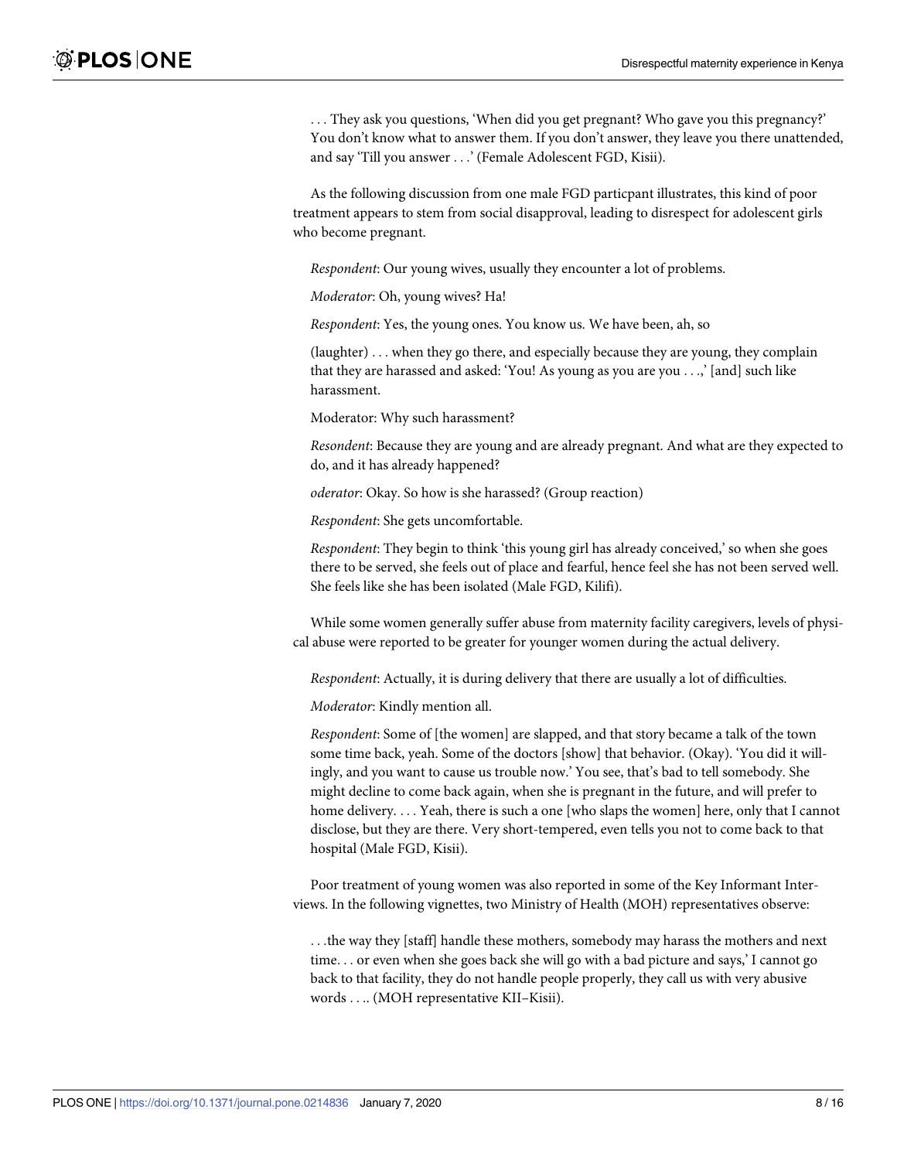. . . They ask you questions, 'When did you get pregnant? Who gave you this pregnancy?' You don't know what to answer them. If you don't answer, they leave you there unattended, and say 'Till you answer . . .' (Female Adolescent FGD, Kisii).

As the following discussion from one male FGD particpant illustrates, this kind of poor treatment appears to stem from social disapproval, leading to disrespect for adolescent girls who become pregnant.

*Respondent*: Our young wives, usually they encounter a lot of problems.

*Moderator*: Oh, young wives? Ha!

*Respondent*: Yes, the young ones. You know us. We have been, ah, so

(laughter) . . . when they go there, and especially because they are young, they complain that they are harassed and asked: 'You! As young as you are you . . .,' [and] such like harassment.

Moderator: Why such harassment?

*Resondent*: Because they are young and are already pregnant. And what are they expected to do, and it has already happened?

*oderator*: Okay. So how is she harassed? (Group reaction)

*Respondent*: She gets uncomfortable.

*Respondent*: They begin to think 'this young girl has already conceived,' so when she goes there to be served, she feels out of place and fearful, hence feel she has not been served well. She feels like she has been isolated (Male FGD, Kilifi).

While some women generally suffer abuse from maternity facility caregivers, levels of physical abuse were reported to be greater for younger women during the actual delivery.

*Respondent*: Actually, it is during delivery that there are usually a lot of difficulties.

*Moderator*: Kindly mention all.

*Respondent*: Some of [the women] are slapped, and that story became a talk of the town some time back, yeah. Some of the doctors [show] that behavior. (Okay). 'You did it willingly, and you want to cause us trouble now.' You see, that's bad to tell somebody. She might decline to come back again, when she is pregnant in the future, and will prefer to home delivery. . . . Yeah, there is such a one [who slaps the women] here, only that I cannot disclose, but they are there. Very short-tempered, even tells you not to come back to that hospital (Male FGD, Kisii).

Poor treatment of young women was also reported in some of the Key Informant Interviews. In the following vignettes, two Ministry of Health (MOH) representatives observe:

. . .the way they [staff] handle these mothers, somebody may harass the mothers and next time. . . or even when she goes back she will go with a bad picture and says,' I cannot go back to that facility, they do not handle people properly, they call us with very abusive words . . .. (MOH representative KII–Kisii).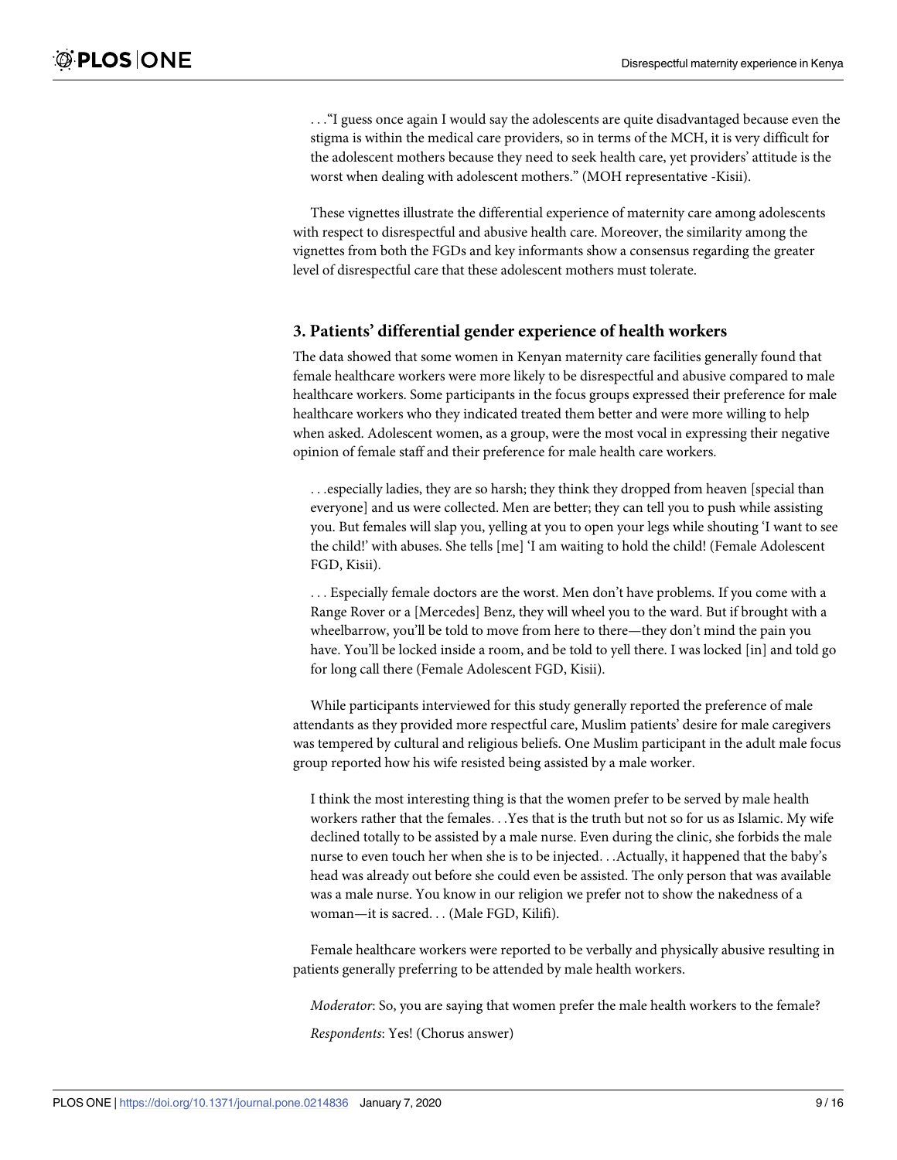. . ."I guess once again I would say the adolescents are quite disadvantaged because even the stigma is within the medical care providers, so in terms of the MCH, it is very difficult for the adolescent mothers because they need to seek health care, yet providers' attitude is the worst when dealing with adolescent mothers." (MOH representative -Kisii).

These vignettes illustrate the differential experience of maternity care among adolescents with respect to disrespectful and abusive health care. Moreover, the similarity among the vignettes from both the FGDs and key informants show a consensus regarding the greater level of disrespectful care that these adolescent mothers must tolerate.

#### **3. Patients' differential gender experience of health workers**

The data showed that some women in Kenyan maternity care facilities generally found that female healthcare workers were more likely to be disrespectful and abusive compared to male healthcare workers. Some participants in the focus groups expressed their preference for male healthcare workers who they indicated treated them better and were more willing to help when asked. Adolescent women, as a group, were the most vocal in expressing their negative opinion of female staff and their preference for male health care workers.

. . .especially ladies, they are so harsh; they think they dropped from heaven [special than everyone] and us were collected. Men are better; they can tell you to push while assisting you. But females will slap you, yelling at you to open your legs while shouting 'I want to see the child!' with abuses. She tells [me] 'I am waiting to hold the child! (Female Adolescent FGD, Kisii).

. . . Especially female doctors are the worst. Men don't have problems. If you come with a Range Rover or a [Mercedes] Benz, they will wheel you to the ward. But if brought with a wheelbarrow, you'll be told to move from here to there—they don't mind the pain you have. You'll be locked inside a room, and be told to yell there. I was locked [in] and told go for long call there (Female Adolescent FGD, Kisii).

While participants interviewed for this study generally reported the preference of male attendants as they provided more respectful care, Muslim patients' desire for male caregivers was tempered by cultural and religious beliefs. One Muslim participant in the adult male focus group reported how his wife resisted being assisted by a male worker.

I think the most interesting thing is that the women prefer to be served by male health workers rather that the females. . .Yes that is the truth but not so for us as Islamic. My wife declined totally to be assisted by a male nurse. Even during the clinic, she forbids the male nurse to even touch her when she is to be injected. . .Actually, it happened that the baby's head was already out before she could even be assisted. The only person that was available was a male nurse. You know in our religion we prefer not to show the nakedness of a woman—it is sacred. . . (Male FGD, Kilifi).

Female healthcare workers were reported to be verbally and physically abusive resulting in patients generally preferring to be attended by male health workers.

*Moderator*: So, you are saying that women prefer the male health workers to the female?

*Respondents*: Yes! (Chorus answer)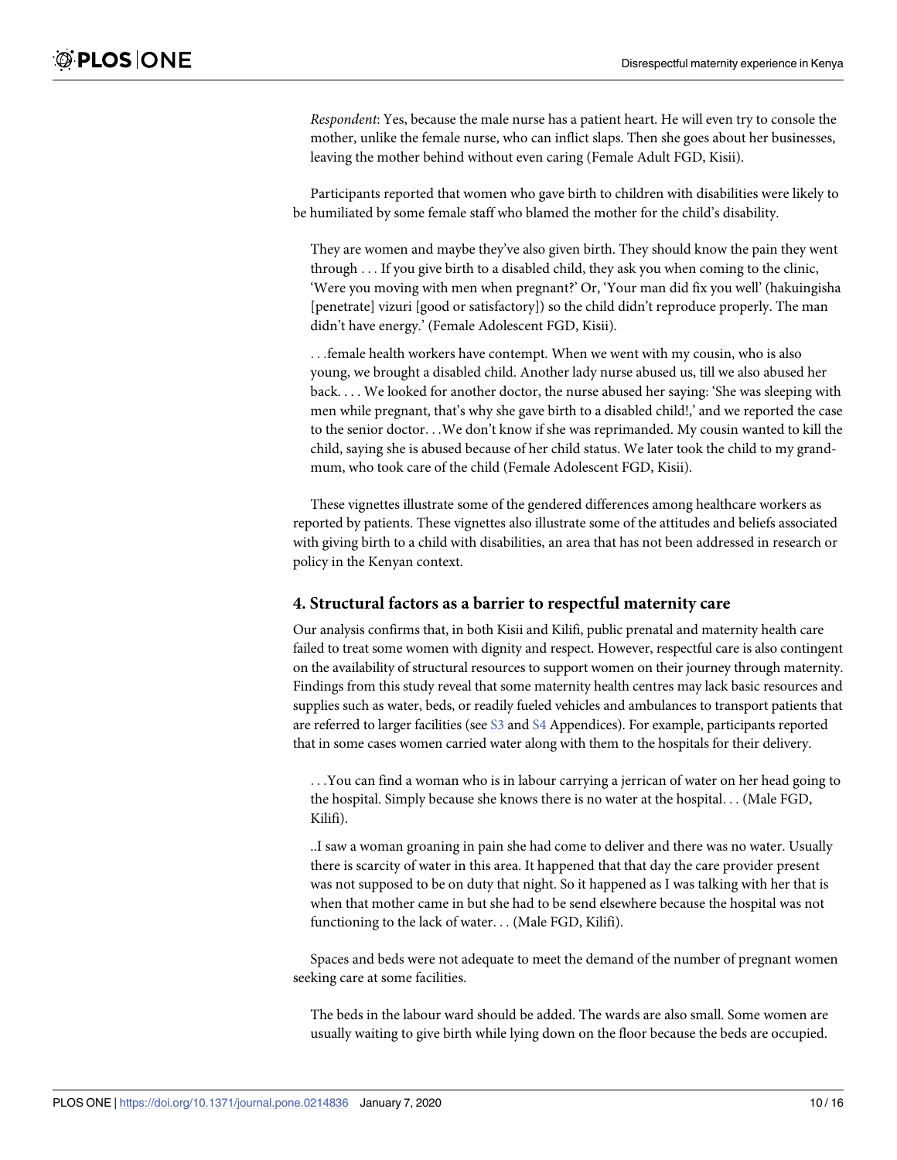*Respondent*: Yes, because the male nurse has a patient heart. He will even try to console the mother, unlike the female nurse, who can inflict slaps. Then she goes about her businesses, leaving the mother behind without even caring (Female Adult FGD, Kisii).

Participants reported that women who gave birth to children with disabilities were likely to be humiliated by some female staff who blamed the mother for the child's disability.

They are women and maybe they've also given birth. They should know the pain they went through . . . If you give birth to a disabled child, they ask you when coming to the clinic, 'Were you moving with men when pregnant?' Or, 'Your man did fix you well' (hakuingisha [penetrate] vizuri [good or satisfactory]) so the child didn't reproduce properly. The man didn't have energy.' (Female Adolescent FGD, Kisii).

. . .female health workers have contempt. When we went with my cousin, who is also young, we brought a disabled child. Another lady nurse abused us, till we also abused her back. . . . We looked for another doctor, the nurse abused her saying: 'She was sleeping with men while pregnant, that's why she gave birth to a disabled child!,' and we reported the case to the senior doctor. . .We don't know if she was reprimanded. My cousin wanted to kill the child, saying she is abused because of her child status. We later took the child to my grandmum, who took care of the child (Female Adolescent FGD, Kisii).

These vignettes illustrate some of the gendered differences among healthcare workers as reported by patients. These vignettes also illustrate some of the attitudes and beliefs associated with giving birth to a child with disabilities, an area that has not been addressed in research or policy in the Kenyan context.

#### **4. Structural factors as a barrier to respectful maternity care**

Our analysis confirms that, in both Kisii and Kilifi, public prenatal and maternity health care failed to treat some women with dignity and respect. However, respectful care is also contingent on the availability of structural resources to support women on their journey through maternity. Findings from this study reveal that some maternity health centres may lack basic resources and supplies such as water, beds, or readily fueled vehicles and ambulances to transport patients that are referred to larger facilities (see [S3](#page-13-0) and [S4](#page-13-0) Appendices). For example, participants reported that in some cases women carried water along with them to the hospitals for their delivery.

. . .You can find a woman who is in labour carrying a jerrican of water on her head going to the hospital. Simply because she knows there is no water at the hospital. . . (Male FGD, Kilifi).

..I saw a woman groaning in pain she had come to deliver and there was no water. Usually there is scarcity of water in this area. It happened that that day the care provider present was not supposed to be on duty that night. So it happened as I was talking with her that is when that mother came in but she had to be send elsewhere because the hospital was not functioning to the lack of water. . . (Male FGD, Kilifi).

Spaces and beds were not adequate to meet the demand of the number of pregnant women seeking care at some facilities.

The beds in the labour ward should be added. The wards are also small. Some women are usually waiting to give birth while lying down on the floor because the beds are occupied.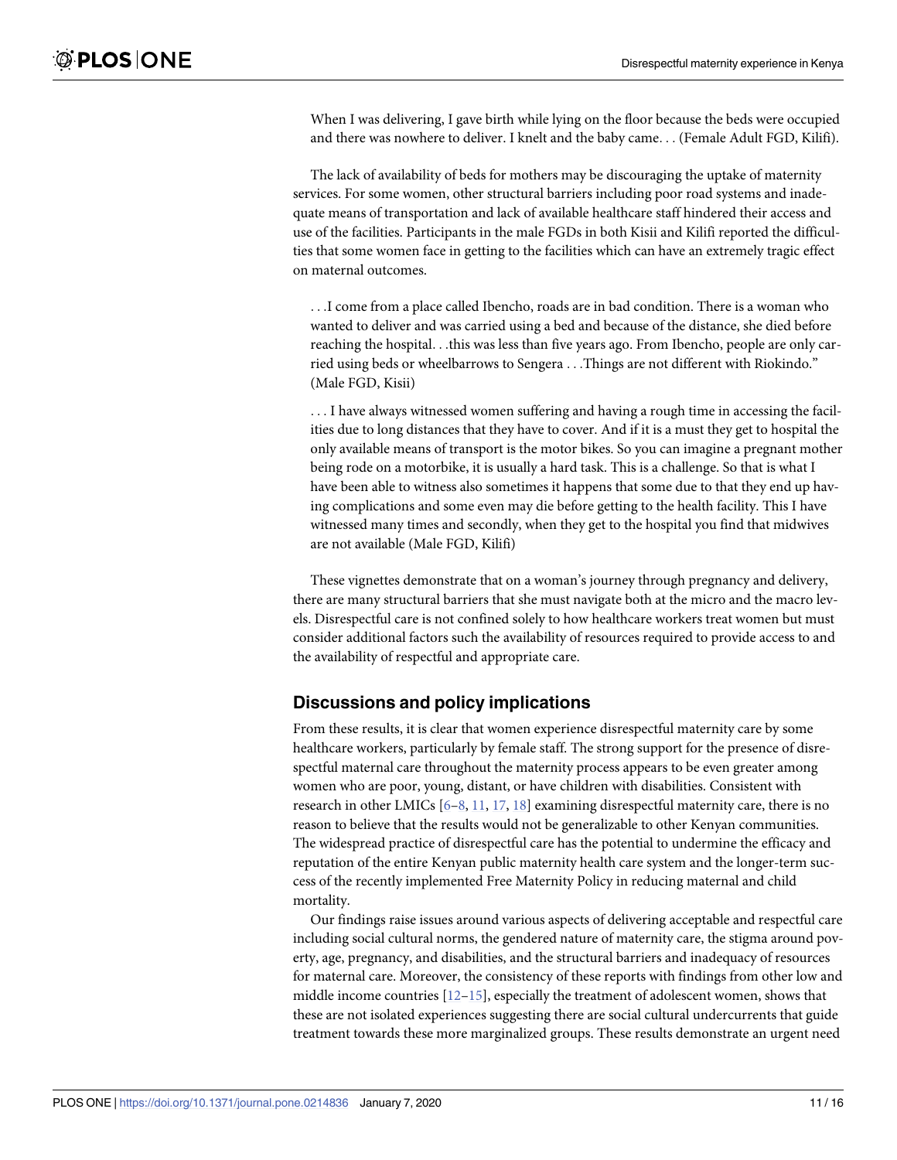<span id="page-10-0"></span>When I was delivering, I gave birth while lying on the floor because the beds were occupied and there was nowhere to deliver. I knelt and the baby came. . . (Female Adult FGD, Kilifi).

The lack of availability of beds for mothers may be discouraging the uptake of maternity services. For some women, other structural barriers including poor road systems and inadequate means of transportation and lack of available healthcare staff hindered their access and use of the facilities. Participants in the male FGDs in both Kisii and Kilifi reported the difficulties that some women face in getting to the facilities which can have an extremely tragic effect on maternal outcomes.

. . .I come from a place called Ibencho, roads are in bad condition. There is a woman who wanted to deliver and was carried using a bed and because of the distance, she died before reaching the hospital. . .this was less than five years ago. From Ibencho, people are only carried using beds or wheelbarrows to Sengera . . .Things are not different with Riokindo." (Male FGD, Kisii)

. . . I have always witnessed women suffering and having a rough time in accessing the facilities due to long distances that they have to cover. And if it is a must they get to hospital the only available means of transport is the motor bikes. So you can imagine a pregnant mother being rode on a motorbike, it is usually a hard task. This is a challenge. So that is what I have been able to witness also sometimes it happens that some due to that they end up having complications and some even may die before getting to the health facility. This I have witnessed many times and secondly, when they get to the hospital you find that midwives are not available (Male FGD, Kilifi)

These vignettes demonstrate that on a woman's journey through pregnancy and delivery, there are many structural barriers that she must navigate both at the micro and the macro levels. Disrespectful care is not confined solely to how healthcare workers treat women but must consider additional factors such the availability of resources required to provide access to and the availability of respectful and appropriate care.

#### **Discussions and policy implications**

From these results, it is clear that women experience disrespectful maternity care by some healthcare workers, particularly by female staff. The strong support for the presence of disrespectful maternal care throughout the maternity process appears to be even greater among women who are poor, young, distant, or have children with disabilities. Consistent with research in other LMICs  $[6-8, 11, 17, 18]$  $[6-8, 11, 17, 18]$  $[6-8, 11, 17, 18]$  $[6-8, 11, 17, 18]$  $[6-8, 11, 17, 18]$  $[6-8, 11, 17, 18]$  examining disrespectful maternity care, there is no reason to believe that the results would not be generalizable to other Kenyan communities. The widespread practice of disrespectful care has the potential to undermine the efficacy and reputation of the entire Kenyan public maternity health care system and the longer-term success of the recently implemented Free Maternity Policy in reducing maternal and child mortality.

Our findings raise issues around various aspects of delivering acceptable and respectful care including social cultural norms, the gendered nature of maternity care, the stigma around poverty, age, pregnancy, and disabilities, and the structural barriers and inadequacy of resources for maternal care. Moreover, the consistency of these reports with findings from other low and middle income countries  $[12-15]$  $[12-15]$  $[12-15]$ , especially the treatment of adolescent women, shows that these are not isolated experiences suggesting there are social cultural undercurrents that guide treatment towards these more marginalized groups. These results demonstrate an urgent need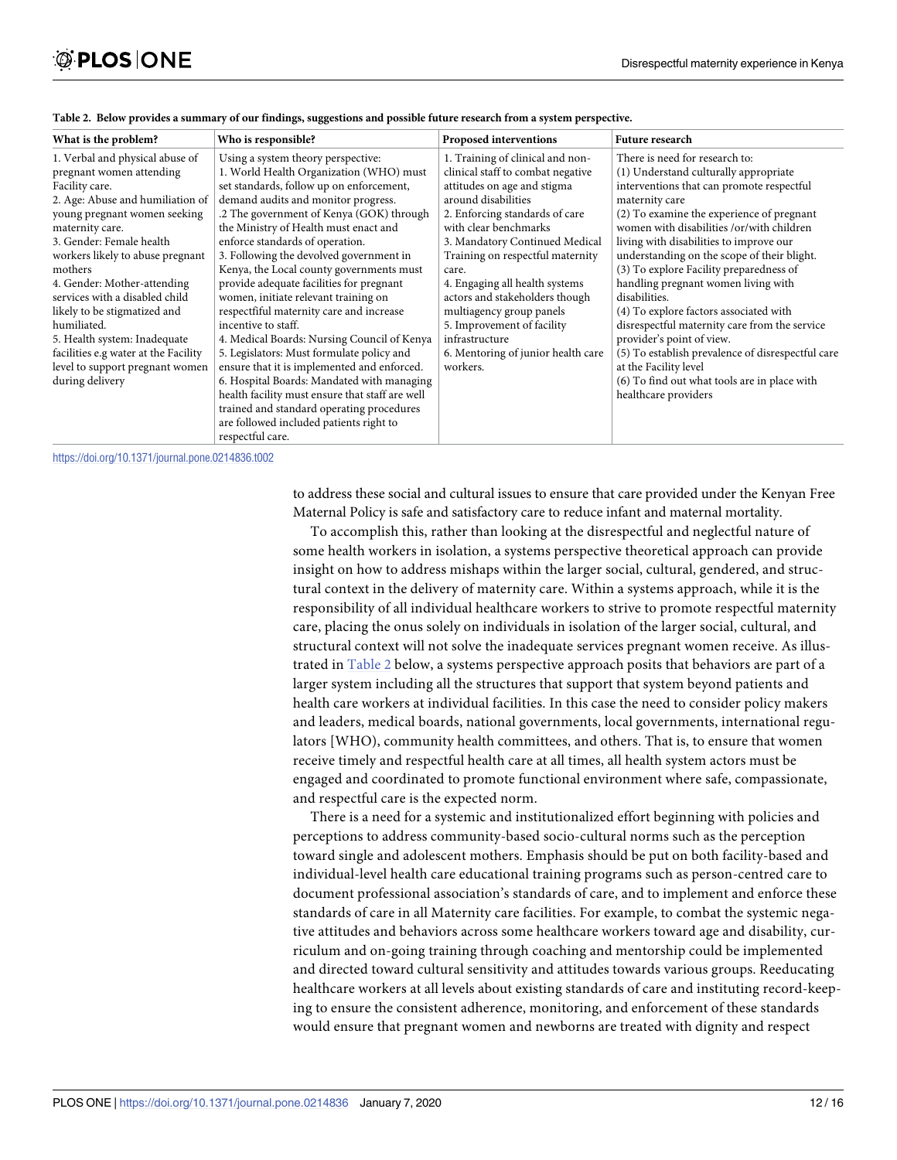| What is the problem?                                                                                                                                                                                                                                                                                                                                                                                                                                                                                                                                                                                                                                                                                                                                                                                                                                                | Who is responsible?                                                                                                                                                                       | Proposed interventions                                                                                                                                                                                                                                                                                                                                                | <b>Future research</b>                                                                                                                                                                                                                                                                                                                                                                                                                                                  |  |  |
|---------------------------------------------------------------------------------------------------------------------------------------------------------------------------------------------------------------------------------------------------------------------------------------------------------------------------------------------------------------------------------------------------------------------------------------------------------------------------------------------------------------------------------------------------------------------------------------------------------------------------------------------------------------------------------------------------------------------------------------------------------------------------------------------------------------------------------------------------------------------|-------------------------------------------------------------------------------------------------------------------------------------------------------------------------------------------|-----------------------------------------------------------------------------------------------------------------------------------------------------------------------------------------------------------------------------------------------------------------------------------------------------------------------------------------------------------------------|-------------------------------------------------------------------------------------------------------------------------------------------------------------------------------------------------------------------------------------------------------------------------------------------------------------------------------------------------------------------------------------------------------------------------------------------------------------------------|--|--|
| 1. Verbal and physical abuse of<br>Using a system theory perspective:<br>1. World Health Organization (WHO) must<br>pregnant women attending<br>set standards, follow up on enforcement,<br>Facility care.<br>demand audits and monitor progress.<br>2. Age: Abuse and humiliation of<br>.2 The government of Kenya (GOK) through<br>young pregnant women seeking<br>the Ministry of Health must enact and<br>maternity care.<br>3. Gender: Female health<br>enforce standards of operation.<br>3. Following the devolved government in<br>workers likely to abuse pregnant<br>Kenya, the Local county governments must<br>mothers<br>provide adequate facilities for pregnant<br>4. Gender: Mother-attending<br>services with a disabled child<br>women, initiate relevant training on<br>respectfiful maternity care and increase<br>likely to be stigmatized and |                                                                                                                                                                                           | 1. Training of clinical and non-<br>clinical staff to combat negative<br>attitudes on age and stigma<br>around disabilities<br>2. Enforcing standards of care<br>with clear benchmarks<br>3. Mandatory Continued Medical<br>Training on respectful maternity<br>care.<br>4. Engaging all health systems<br>actors and stakeholders though<br>multiagency group panels | There is need for research to:<br>(1) Understand culturally appropriate<br>interventions that can promote respectful<br>maternity care<br>(2) To examine the experience of pregnant<br>women with disabilities /or/with children<br>living with disabilities to improve our<br>understanding on the scope of their blight.<br>(3) To explore Facility preparedness of<br>handling pregnant women living with<br>disabilities.<br>(4) To explore factors associated with |  |  |
| humiliated.<br>5. Health system: Inadequate<br>facilities e.g water at the Facility                                                                                                                                                                                                                                                                                                                                                                                                                                                                                                                                                                                                                                                                                                                                                                                 | incentive to staff.<br>4. Medical Boards: Nursing Council of Kenya<br>5. Legislators: Must formulate policy and                                                                           | 5. Improvement of facility<br>infrastructure<br>6. Mentoring of junior health care                                                                                                                                                                                                                                                                                    | disrespectful maternity care from the service<br>provider's point of view.<br>(5) To establish prevalence of disrespectful care                                                                                                                                                                                                                                                                                                                                         |  |  |
| level to support pregnant women<br>during delivery                                                                                                                                                                                                                                                                                                                                                                                                                                                                                                                                                                                                                                                                                                                                                                                                                  | ensure that it is implemented and enforced.<br>6. Hospital Boards: Mandated with managing<br>health facility must ensure that staff are well<br>trained and standard operating procedures | workers.                                                                                                                                                                                                                                                                                                                                                              | at the Facility level<br>(6) To find out what tools are in place with<br>healthcare providers                                                                                                                                                                                                                                                                                                                                                                           |  |  |
|                                                                                                                                                                                                                                                                                                                                                                                                                                                                                                                                                                                                                                                                                                                                                                                                                                                                     | are followed included patients right to<br>respectful care.                                                                                                                               |                                                                                                                                                                                                                                                                                                                                                                       |                                                                                                                                                                                                                                                                                                                                                                                                                                                                         |  |  |

| Table 2. Below provides a summary of our findings, suggestions and possible future research from a system perspective. |  |  |  |
|------------------------------------------------------------------------------------------------------------------------|--|--|--|
|                                                                                                                        |  |  |  |

<https://doi.org/10.1371/journal.pone.0214836.t002>

to address these social and cultural issues to ensure that care provided under the Kenyan Free Maternal Policy is safe and satisfactory care to reduce infant and maternal mortality.

To accomplish this, rather than looking at the disrespectful and neglectful nature of some health workers in isolation, a systems perspective theoretical approach can provide insight on how to address mishaps within the larger social, cultural, gendered, and structural context in the delivery of maternity care. Within a systems approach, while it is the responsibility of all individual healthcare workers to strive to promote respectful maternity care, placing the onus solely on individuals in isolation of the larger social, cultural, and structural context will not solve the inadequate services pregnant women receive. As illustrated in Table 2 below, a systems perspective approach posits that behaviors are part of a larger system including all the structures that support that system beyond patients and health care workers at individual facilities. In this case the need to consider policy makers and leaders, medical boards, national governments, local governments, international regulators [WHO), community health committees, and others. That is, to ensure that women receive timely and respectful health care at all times, all health system actors must be engaged and coordinated to promote functional environment where safe, compassionate, and respectful care is the expected norm.

There is a need for a systemic and institutionalized effort beginning with policies and perceptions to address community-based socio-cultural norms such as the perception toward single and adolescent mothers. Emphasis should be put on both facility-based and individual-level health care educational training programs such as person-centred care to document professional association's standards of care, and to implement and enforce these standards of care in all Maternity care facilities. For example, to combat the systemic negative attitudes and behaviors across some healthcare workers toward age and disability, curriculum and on-going training through coaching and mentorship could be implemented and directed toward cultural sensitivity and attitudes towards various groups. Reeducating healthcare workers at all levels about existing standards of care and instituting record-keeping to ensure the consistent adherence, monitoring, and enforcement of these standards would ensure that pregnant women and newborns are treated with dignity and respect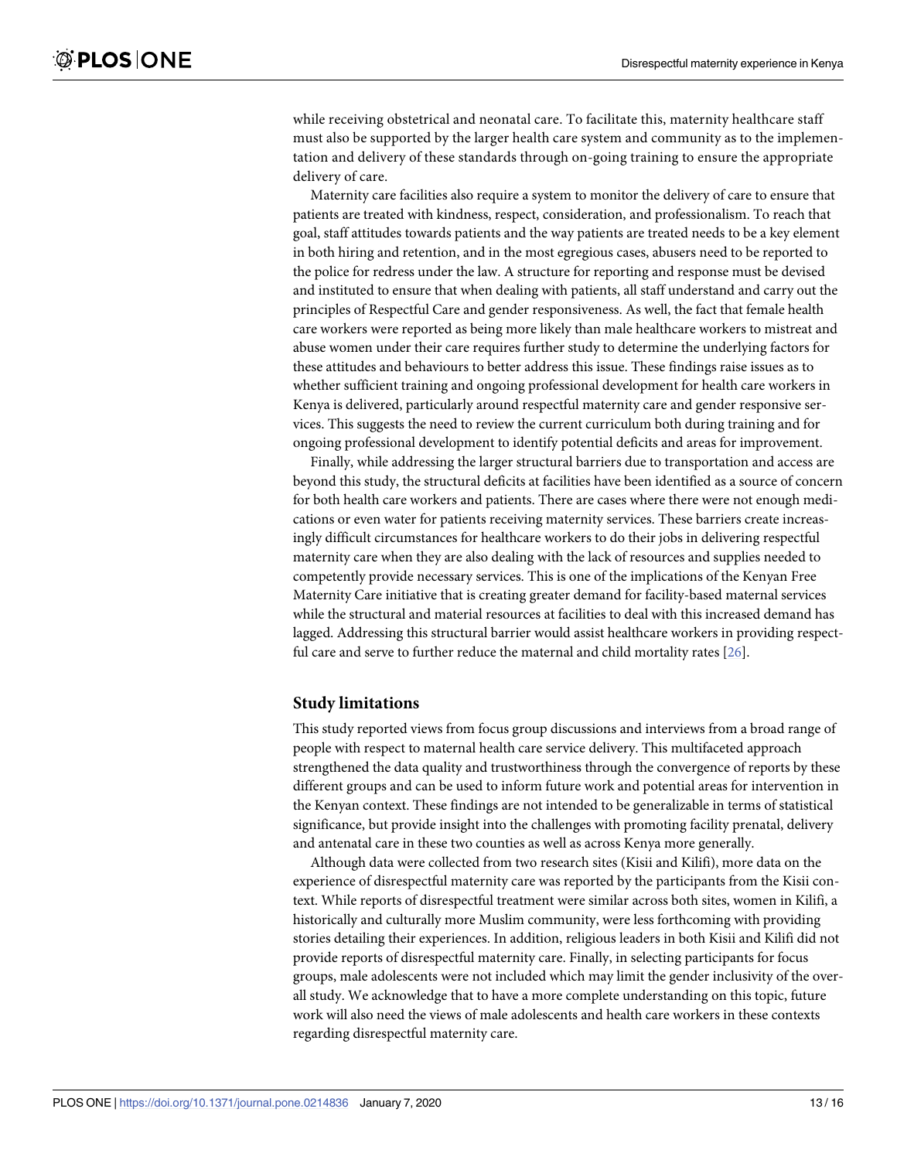while receiving obstetrical and neonatal care. To facilitate this, maternity healthcare staff must also be supported by the larger health care system and community as to the implementation and delivery of these standards through on-going training to ensure the appropriate delivery of care.

Maternity care facilities also require a system to monitor the delivery of care to ensure that patients are treated with kindness, respect, consideration, and professionalism. To reach that goal, staff attitudes towards patients and the way patients are treated needs to be a key element in both hiring and retention, and in the most egregious cases, abusers need to be reported to the police for redress under the law. A structure for reporting and response must be devised and instituted to ensure that when dealing with patients, all staff understand and carry out the principles of Respectful Care and gender responsiveness. As well, the fact that female health care workers were reported as being more likely than male healthcare workers to mistreat and abuse women under their care requires further study to determine the underlying factors for these attitudes and behaviours to better address this issue. These findings raise issues as to whether sufficient training and ongoing professional development for health care workers in Kenya is delivered, particularly around respectful maternity care and gender responsive services. This suggests the need to review the current curriculum both during training and for ongoing professional development to identify potential deficits and areas for improvement.

Finally, while addressing the larger structural barriers due to transportation and access are beyond this study, the structural deficits at facilities have been identified as a source of concern for both health care workers and patients. There are cases where there were not enough medications or even water for patients receiving maternity services. These barriers create increasingly difficult circumstances for healthcare workers to do their jobs in delivering respectful maternity care when they are also dealing with the lack of resources and supplies needed to competently provide necessary services. This is one of the implications of the Kenyan Free Maternity Care initiative that is creating greater demand for facility-based maternal services while the structural and material resources at facilities to deal with this increased demand has lagged. Addressing this structural barrier would assist healthcare workers in providing respectful care and serve to further reduce the maternal and child mortality rates [[26](#page-15-0)].

#### **Study limitations**

This study reported views from focus group discussions and interviews from a broad range of people with respect to maternal health care service delivery. This multifaceted approach strengthened the data quality and trustworthiness through the convergence of reports by these different groups and can be used to inform future work and potential areas for intervention in the Kenyan context. These findings are not intended to be generalizable in terms of statistical significance, but provide insight into the challenges with promoting facility prenatal, delivery and antenatal care in these two counties as well as across Kenya more generally.

Although data were collected from two research sites (Kisii and Kilifi), more data on the experience of disrespectful maternity care was reported by the participants from the Kisii context. While reports of disrespectful treatment were similar across both sites, women in Kilifi, a historically and culturally more Muslim community, were less forthcoming with providing stories detailing their experiences. In addition, religious leaders in both Kisii and Kilifi did not provide reports of disrespectful maternity care. Finally, in selecting participants for focus groups, male adolescents were not included which may limit the gender inclusivity of the overall study. We acknowledge that to have a more complete understanding on this topic, future work will also need the views of male adolescents and health care workers in these contexts regarding disrespectful maternity care.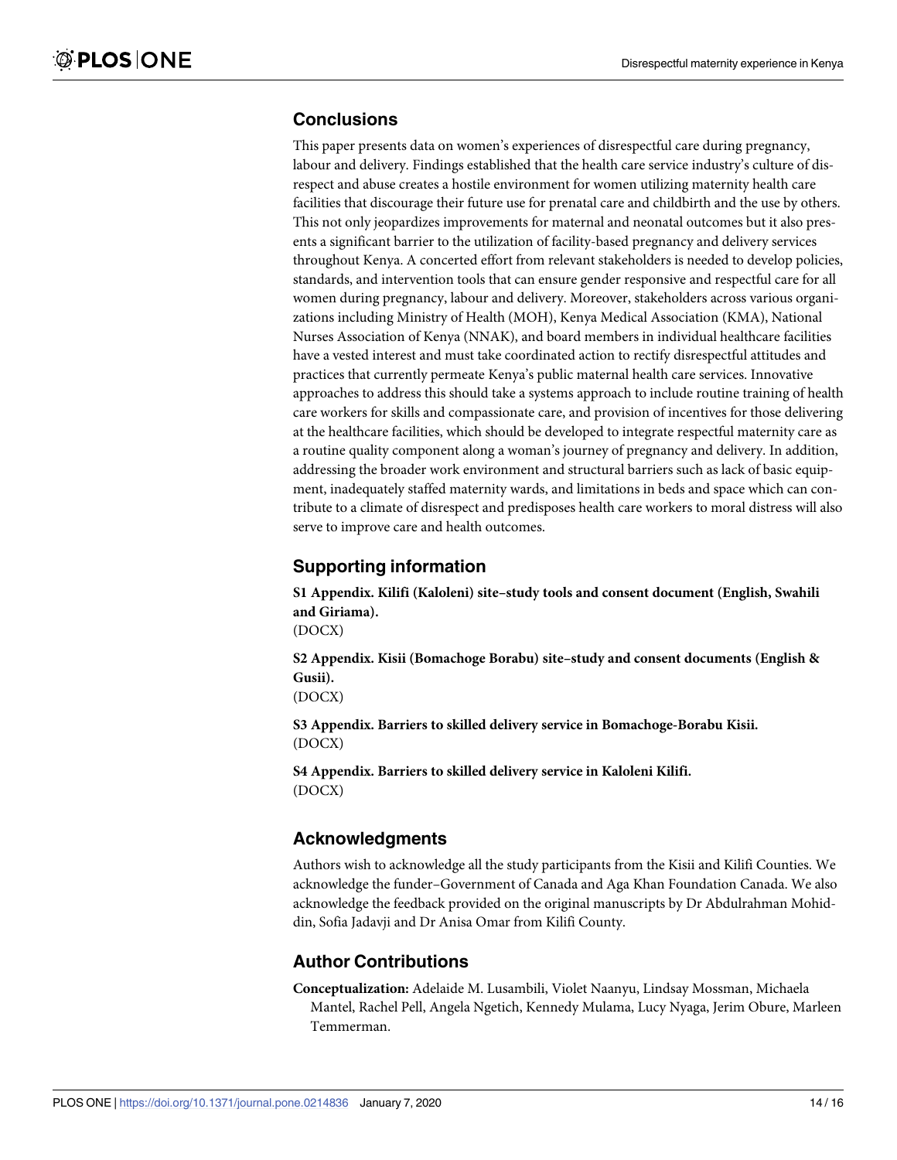#### <span id="page-13-0"></span>**Conclusions**

This paper presents data on women's experiences of disrespectful care during pregnancy, labour and delivery. Findings established that the health care service industry's culture of disrespect and abuse creates a hostile environment for women utilizing maternity health care facilities that discourage their future use for prenatal care and childbirth and the use by others. This not only jeopardizes improvements for maternal and neonatal outcomes but it also presents a significant barrier to the utilization of facility-based pregnancy and delivery services throughout Kenya. A concerted effort from relevant stakeholders is needed to develop policies, standards, and intervention tools that can ensure gender responsive and respectful care for all women during pregnancy, labour and delivery. Moreover, stakeholders across various organizations including Ministry of Health (MOH), Kenya Medical Association (KMA), National Nurses Association of Kenya (NNAK), and board members in individual healthcare facilities have a vested interest and must take coordinated action to rectify disrespectful attitudes and practices that currently permeate Kenya's public maternal health care services. Innovative approaches to address this should take a systems approach to include routine training of health care workers for skills and compassionate care, and provision of incentives for those delivering at the healthcare facilities, which should be developed to integrate respectful maternity care as a routine quality component along a woman's journey of pregnancy and delivery. In addition, addressing the broader work environment and structural barriers such as lack of basic equipment, inadequately staffed maternity wards, and limitations in beds and space which can contribute to a climate of disrespect and predisposes health care workers to moral distress will also serve to improve care and health outcomes.

## **Supporting information**

**S1 [Appendix](http://www.plosone.org/article/fetchSingleRepresentation.action?uri=info:doi/10.1371/journal.pone.0214836.s001). Kilifi (Kaloleni) site–study tools and consent document (English, Swahili and Giriama).**

(DOCX)

**S2 [Appendix](http://www.plosone.org/article/fetchSingleRepresentation.action?uri=info:doi/10.1371/journal.pone.0214836.s002). Kisii (Bomachoge Borabu) site–study and consent documents (English & Gusii).**

(DOCX)

**S3 [Appendix](http://www.plosone.org/article/fetchSingleRepresentation.action?uri=info:doi/10.1371/journal.pone.0214836.s003). Barriers to skilled delivery service in Bomachoge-Borabu Kisii.** (DOCX)

**S4 [Appendix](http://www.plosone.org/article/fetchSingleRepresentation.action?uri=info:doi/10.1371/journal.pone.0214836.s004). Barriers to skilled delivery service in Kaloleni Kilifi.** (DOCX)

#### **Acknowledgments**

Authors wish to acknowledge all the study participants from the Kisii and Kilifi Counties. We acknowledge the funder–Government of Canada and Aga Khan Foundation Canada. We also acknowledge the feedback provided on the original manuscripts by Dr Abdulrahman Mohiddin, Sofia Jadavji and Dr Anisa Omar from Kilifi County.

#### **Author Contributions**

**Conceptualization:** Adelaide M. Lusambili, Violet Naanyu, Lindsay Mossman, Michaela Mantel, Rachel Pell, Angela Ngetich, Kennedy Mulama, Lucy Nyaga, Jerim Obure, Marleen Temmerman.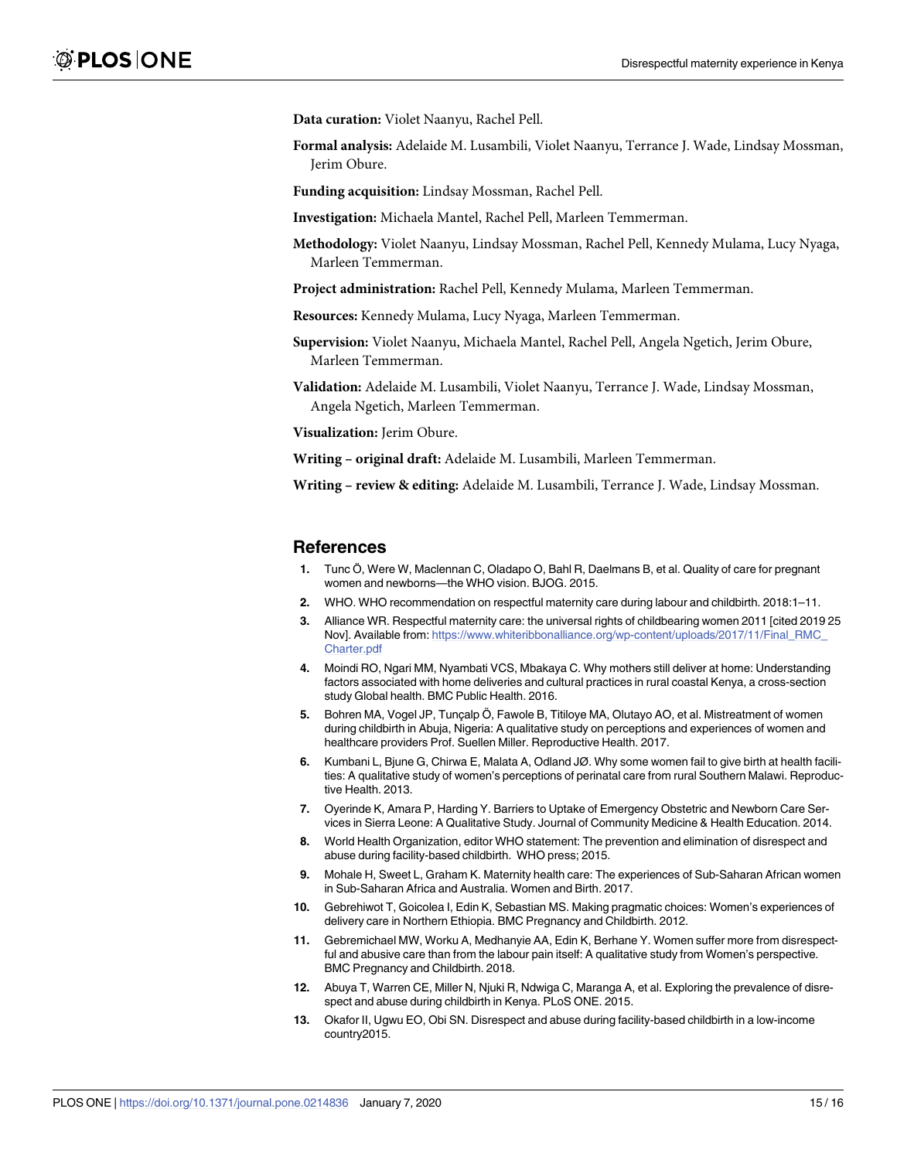<span id="page-14-0"></span>**Data curation:** Violet Naanyu, Rachel Pell.

**Formal analysis:** Adelaide M. Lusambili, Violet Naanyu, Terrance J. Wade, Lindsay Mossman, Jerim Obure.

**Funding acquisition:** Lindsay Mossman, Rachel Pell.

**Investigation:** Michaela Mantel, Rachel Pell, Marleen Temmerman.

**Methodology:** Violet Naanyu, Lindsay Mossman, Rachel Pell, Kennedy Mulama, Lucy Nyaga, Marleen Temmerman.

**Project administration:** Rachel Pell, Kennedy Mulama, Marleen Temmerman.

**Resources:** Kennedy Mulama, Lucy Nyaga, Marleen Temmerman.

**Supervision:** Violet Naanyu, Michaela Mantel, Rachel Pell, Angela Ngetich, Jerim Obure, Marleen Temmerman.

**Validation:** Adelaide M. Lusambili, Violet Naanyu, Terrance J. Wade, Lindsay Mossman, Angela Ngetich, Marleen Temmerman.

**Visualization:** Jerim Obure.

**Writing – original draft:** Adelaide M. Lusambili, Marleen Temmerman.

**Writing – review & editing:** Adelaide M. Lusambili, Terrance J. Wade, Lindsay Mossman.

#### **References**

- **[1](#page-1-0).** Tunc Ӧ, Were W, Maclennan C, Oladapo O, Bahl R, Daelmans B, et al. Quality of care for pregnant women and newborns—the WHO vision. BJOG. 2015.
- **[2](#page-1-0).** WHO. WHO recommendation on respectful maternity care during labour and childbirth. 2018:1–11.
- **[3](#page-1-0).** Alliance WR. Respectful maternity care: the universal rights of childbearing women 2011 [cited 2019 25 Nov]. Available from: [https://www.whiteribbonalliance.org/wp-content/uploads/2017/11/Final\\_RMC\\_](https://www.whiteribbonalliance.org/wp-content/uploads/2017/11/Final_RMC_Charter.pdf) [Charter.pdf](https://www.whiteribbonalliance.org/wp-content/uploads/2017/11/Final_RMC_Charter.pdf)
- **[4](#page-1-0).** Moindi RO, Ngari MM, Nyambati VCS, Mbakaya C. Why mothers still deliver at home: Understanding factors associated with home deliveries and cultural practices in rural coastal Kenya, a cross-section study Global health. BMC Public Health. 2016.
- **5.** Bohren MA, Vogel JP, Tunçalp Ö, Fawole B, Titiloye MA, Olutayo AO, et al. Mistreatment of women during childbirth in Abuja, Nigeria: A qualitative study on perceptions and experiences of women and healthcare providers Prof. Suellen Miller. Reproductive Health. 2017.
- **[6](#page-1-0).** Kumbani L, Bjune G, Chirwa E, Malata A, Odland JØ. Why some women fail to give birth at health facilities: A qualitative study of women's perceptions of perinatal care from rural Southern Malawi. Reproductive Health. 2013.
- **[7](#page-1-0).** Oyerinde K, Amara P, Harding Y. Barriers to Uptake of Emergency Obstetric and Newborn Care Services in Sierra Leone: A Qualitative Study. Journal of Community Medicine & Health Education. 2014.
- **[8](#page-1-0).** World Health Organization, editor WHO statement: The prevention and elimination of disrespect and abuse during facility-based childbirth. WHO press; 2015.
- **[9](#page-1-0).** Mohale H, Sweet L, Graham K. Maternity health care: The experiences of Sub-Saharan African women in Sub-Saharan Africa and Australia. Women and Birth. 2017.
- **10.** Gebrehiwot T, Goicolea I, Edin K, Sebastian MS. Making pragmatic choices: Women's experiences of delivery care in Northern Ethiopia. BMC Pregnancy and Childbirth. 2012.
- **[11](#page-10-0).** Gebremichael MW, Worku A, Medhanyie AA, Edin K, Berhane Y. Women suffer more from disrespectful and abusive care than from the labour pain itself: A qualitative study from Women's perspective. BMC Pregnancy and Childbirth. 2018.
- **[12](#page-1-0).** Abuya T, Warren CE, Miller N, Njuki R, Ndwiga C, Maranga A, et al. Exploring the prevalence of disrespect and abuse during childbirth in Kenya. PLoS ONE. 2015.
- **[13](#page-2-0).** Okafor II, Ugwu EO, Obi SN. Disrespect and abuse during facility-based childbirth in a low-income country2015.